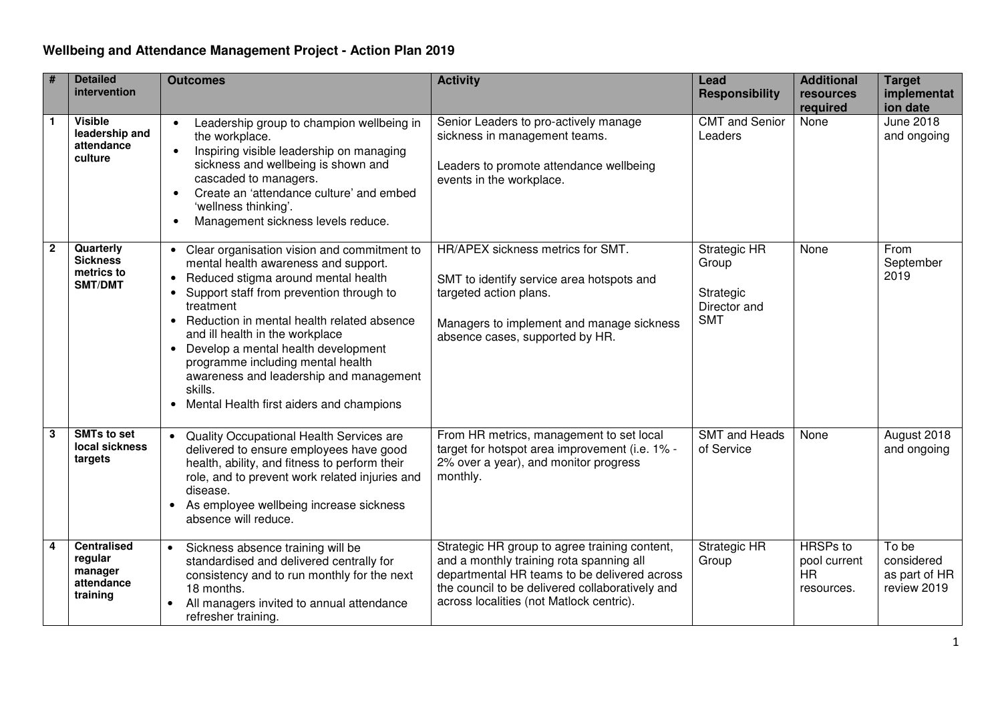| #                       | <b>Detailed</b><br>intervention                                    | <b>Outcomes</b>                                                                                                                                                                                                                                                                                                                                                                                                                                                                                                                  | <b>Activity</b>                                                                                                                                                                                                                          | Lead<br><b>Responsibility</b>                                    | <b>Additional</b><br>resources<br>required                 | <b>Target</b><br>implementat<br>ion date            |
|-------------------------|--------------------------------------------------------------------|----------------------------------------------------------------------------------------------------------------------------------------------------------------------------------------------------------------------------------------------------------------------------------------------------------------------------------------------------------------------------------------------------------------------------------------------------------------------------------------------------------------------------------|------------------------------------------------------------------------------------------------------------------------------------------------------------------------------------------------------------------------------------------|------------------------------------------------------------------|------------------------------------------------------------|-----------------------------------------------------|
| $\overline{\mathbf{1}}$ | <b>Visible</b><br>leadership and<br>attendance<br>culture          | Leadership group to champion wellbeing in<br>the workplace.<br>Inspiring visible leadership on managing<br>$\bullet$<br>sickness and wellbeing is shown and<br>cascaded to managers.<br>Create an 'attendance culture' and embed<br>$\bullet$<br>'wellness thinking'.<br>Management sickness levels reduce.<br>$\bullet$                                                                                                                                                                                                         | Senior Leaders to pro-actively manage<br>sickness in management teams.<br>Leaders to promote attendance wellbeing<br>events in the workplace.                                                                                            | <b>CMT</b> and Senior<br>Leaders                                 | None                                                       | <b>June 2018</b><br>and ongoing                     |
| $\overline{2}$          | Quarterly<br><b>Sickness</b><br>metrics to<br>SMT/DMT              | Clear organisation vision and commitment to<br>$\bullet$<br>mental health awareness and support.<br>Reduced stigma around mental health<br>$\bullet$<br>Support staff from prevention through to<br>$\bullet$<br>treatment<br>Reduction in mental health related absence<br>$\bullet$<br>and ill health in the workplace<br>Develop a mental health development<br>$\bullet$<br>programme including mental health<br>awareness and leadership and management<br>skills.<br>Mental Health first aiders and champions<br>$\bullet$ | HR/APEX sickness metrics for SMT.<br>SMT to identify service area hotspots and<br>targeted action plans.<br>Managers to implement and manage sickness<br>absence cases, supported by HR.                                                 | Strategic HR<br>Group<br>Strategic<br>Director and<br><b>SMT</b> | None                                                       | From<br>September<br>2019                           |
| $\overline{\mathbf{3}}$ | <b>SMTs to set</b><br>local sickness<br>targets                    | Quality Occupational Health Services are<br>$\bullet$<br>delivered to ensure employees have good<br>health, ability, and fitness to perform their<br>role, and to prevent work related injuries and<br>disease.<br>As employee wellbeing increase sickness<br>$\bullet$<br>absence will reduce.                                                                                                                                                                                                                                  | From HR metrics, management to set local<br>target for hotspot area improvement (i.e. 1% -<br>2% over a year), and monitor progress<br>monthly.                                                                                          | <b>SMT</b> and Heads<br>of Service                               | None                                                       | August 2018<br>and ongoing                          |
| $\overline{\mathbf{4}}$ | <b>Centralised</b><br>regular<br>manager<br>attendance<br>training | Sickness absence training will be<br>$\bullet$<br>standardised and delivered centrally for<br>consistency and to run monthly for the next<br>18 months.<br>All managers invited to annual attendance<br>refresher training.                                                                                                                                                                                                                                                                                                      | Strategic HR group to agree training content,<br>and a monthly training rota spanning all<br>departmental HR teams to be delivered across<br>the council to be delivered collaboratively and<br>across localities (not Matlock centric). | <b>Strategic HR</b><br>Group                                     | <b>HRSPs</b> to<br>pool current<br><b>HR</b><br>resources. | To be<br>considered<br>as part of HR<br>review 2019 |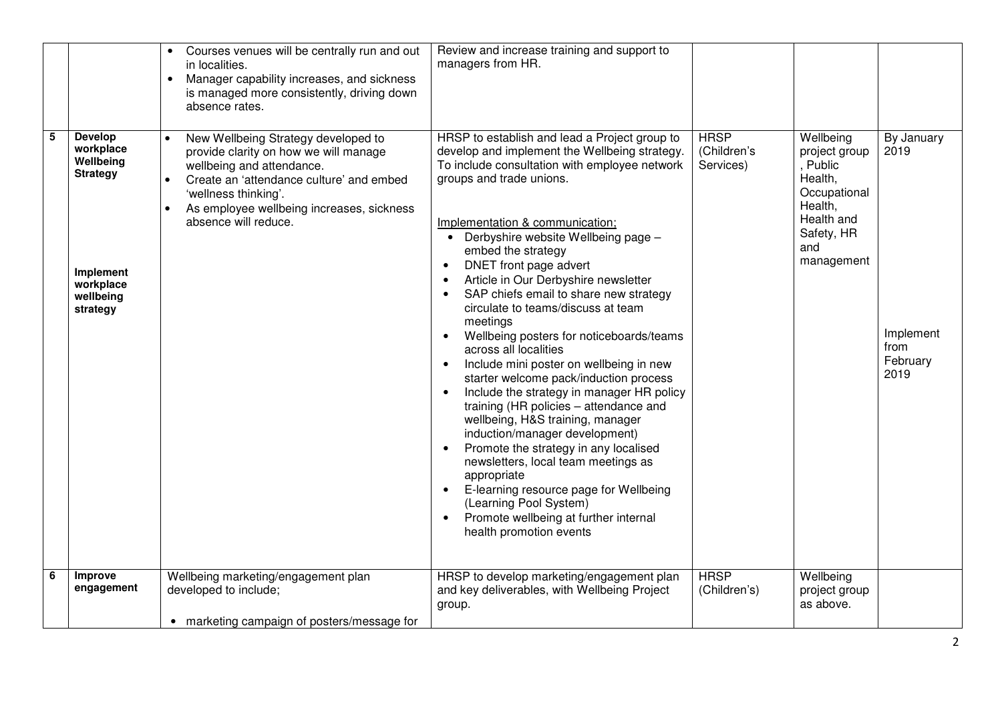|   |                                                                                                                | Courses venues will be centrally run and out<br>in localities.<br>Manager capability increases, and sickness<br>$\bullet$<br>is managed more consistently, driving down<br>absence rates.                                                                                    | Review and increase training and support to<br>managers from HR.                                                                                                                                                                                                                                                                                                                                                                                                                                                                                                                                                                                                                                                                                                                                                                                                                                                                                                                                          |                                         |                                                                                                                               |                                                             |
|---|----------------------------------------------------------------------------------------------------------------|------------------------------------------------------------------------------------------------------------------------------------------------------------------------------------------------------------------------------------------------------------------------------|-----------------------------------------------------------------------------------------------------------------------------------------------------------------------------------------------------------------------------------------------------------------------------------------------------------------------------------------------------------------------------------------------------------------------------------------------------------------------------------------------------------------------------------------------------------------------------------------------------------------------------------------------------------------------------------------------------------------------------------------------------------------------------------------------------------------------------------------------------------------------------------------------------------------------------------------------------------------------------------------------------------|-----------------------------------------|-------------------------------------------------------------------------------------------------------------------------------|-------------------------------------------------------------|
| 5 | <b>Develop</b><br>workplace<br>Wellbeing<br><b>Strategy</b><br>Implement<br>workplace<br>wellbeing<br>strategy | New Wellbeing Strategy developed to<br>$\bullet$<br>provide clarity on how we will manage<br>wellbeing and attendance.<br>Create an 'attendance culture' and embed<br>$\bullet$<br>'wellness thinking'.<br>As employee wellbeing increases, sickness<br>absence will reduce. | HRSP to establish and lead a Project group to<br>develop and implement the Wellbeing strategy.<br>To include consultation with employee network<br>groups and trade unions.<br>Implementation & communication;<br>• Derbyshire website Wellbeing page -<br>embed the strategy<br>DNET front page advert<br>Article in Our Derbyshire newsletter<br>SAP chiefs email to share new strategy<br>circulate to teams/discuss at team<br>meetings<br>Wellbeing posters for noticeboards/teams<br>across all localities<br>Include mini poster on wellbeing in new<br>starter welcome pack/induction process<br>Include the strategy in manager HR policy<br>training (HR policies - attendance and<br>wellbeing, H&S training, manager<br>induction/manager development)<br>Promote the strategy in any localised<br>newsletters, local team meetings as<br>appropriate<br>E-learning resource page for Wellbeing<br>(Learning Pool System)<br>Promote wellbeing at further internal<br>health promotion events | <b>HRSP</b><br>(Children's<br>Services) | Wellbeing<br>project group<br>, Public<br>Health,<br>Occupational<br>Health,<br>Health and<br>Safety, HR<br>and<br>management | By January<br>2019<br>Implement<br>from<br>February<br>2019 |
| 6 | <b>Improve</b><br>engagement                                                                                   | Wellbeing marketing/engagement plan<br>developed to include;<br>• marketing campaign of posters/message for                                                                                                                                                                  | HRSP to develop marketing/engagement plan<br>and key deliverables, with Wellbeing Project<br>group.                                                                                                                                                                                                                                                                                                                                                                                                                                                                                                                                                                                                                                                                                                                                                                                                                                                                                                       | <b>HRSP</b><br>(Children's)             | Wellbeing<br>project group<br>as above.                                                                                       |                                                             |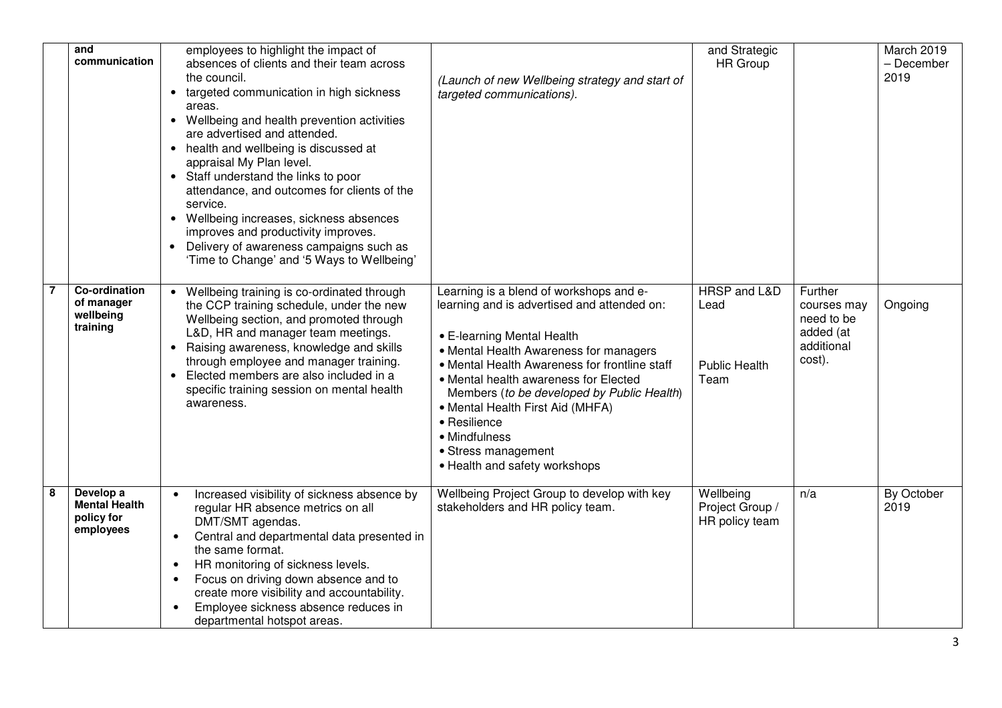|   | and<br>communication                                         | employees to highlight the impact of<br>absences of clients and their team across<br>the council.<br>• targeted communication in high sickness<br>targeted communications).<br>areas.<br>• Wellbeing and health prevention activities<br>are advertised and attended.<br>• health and wellbeing is discussed at<br>appraisal My Plan level.<br>• Staff understand the links to poor<br>attendance, and outcomes for clients of the<br>service.<br>• Wellbeing increases, sickness absences<br>improves and productivity improves.<br>Delivery of awareness campaigns such as<br>$\bullet$<br>'Time to Change' and '5 Ways to Wellbeing' | and Strategic<br><b>HR</b> Group<br>(Launch of new Wellbeing strategy and start of                                                                                                                                                                                                                                               | March 2019<br>- December<br>2019                                                     |
|---|--------------------------------------------------------------|-----------------------------------------------------------------------------------------------------------------------------------------------------------------------------------------------------------------------------------------------------------------------------------------------------------------------------------------------------------------------------------------------------------------------------------------------------------------------------------------------------------------------------------------------------------------------------------------------------------------------------------------|----------------------------------------------------------------------------------------------------------------------------------------------------------------------------------------------------------------------------------------------------------------------------------------------------------------------------------|--------------------------------------------------------------------------------------|
|   | Co-ordination<br>of manager<br>wellbeing<br>training         | Wellbeing training is co-ordinated through<br>$\bullet$<br>the CCP training schedule, under the new<br>Wellbeing section, and promoted through<br>L&D, HR and manager team meetings.<br>• E-learning Mental Health<br>• Raising awareness, knowledge and skills<br>through employee and manager training.<br>Elected members are also included in a<br>$\bullet$<br>specific training session on mental health<br>awareness.<br>• Mental Health First Aid (MHFA)<br>• Resilience<br>• Mindfulness<br>• Stress management<br>• Health and safety workshops                                                                               | HRSP and L&D<br>Learning is a blend of workshops and e-<br>learning and is advertised and attended on:<br>Lead<br>• Mental Health Awareness for managers<br>• Mental Health Awareness for frontline staff<br><b>Public Health</b><br>• Mental health awareness for Elected<br>Team<br>Members (to be developed by Public Health) | Further<br>Ongoing<br>courses may<br>need to be<br>added (at<br>additional<br>cost). |
| 8 | Develop a<br><b>Mental Health</b><br>policy for<br>employees | Increased visibility of sickness absence by<br>$\bullet$<br>stakeholders and HR policy team.<br>regular HR absence metrics on all<br>DMT/SMT agendas.<br>Central and departmental data presented in<br>$\bullet$<br>the same format.<br>HR monitoring of sickness levels.<br>$\bullet$<br>Focus on driving down absence and to<br>$\bullet$<br>create more visibility and accountability.<br>Employee sickness absence reduces in<br>$\bullet$<br>departmental hotspot areas.                                                                                                                                                           | Wellbeing Project Group to develop with key<br>Wellbeing<br>Project Group /<br>HR policy team                                                                                                                                                                                                                                    | By October<br>n/a<br>2019                                                            |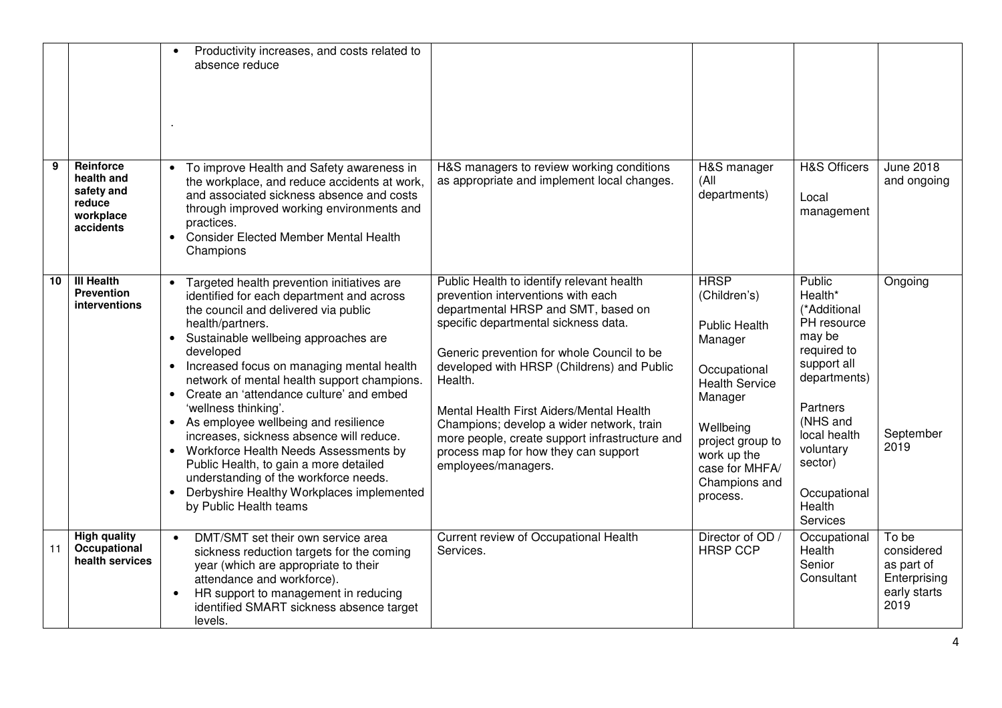|    |                                                                                  | Productivity increases, and costs related to<br>absence reduce                                                                                                                                                                                                                                                                                                                                                                                                                                                                                                                                                                                                                                             |                                                                                                                                                                                                                                                                                                                                                                                                                                                                                 |                                                                                                                                                                                                                   |                                                                                                                                                                                                                |                                                                           |
|----|----------------------------------------------------------------------------------|------------------------------------------------------------------------------------------------------------------------------------------------------------------------------------------------------------------------------------------------------------------------------------------------------------------------------------------------------------------------------------------------------------------------------------------------------------------------------------------------------------------------------------------------------------------------------------------------------------------------------------------------------------------------------------------------------------|---------------------------------------------------------------------------------------------------------------------------------------------------------------------------------------------------------------------------------------------------------------------------------------------------------------------------------------------------------------------------------------------------------------------------------------------------------------------------------|-------------------------------------------------------------------------------------------------------------------------------------------------------------------------------------------------------------------|----------------------------------------------------------------------------------------------------------------------------------------------------------------------------------------------------------------|---------------------------------------------------------------------------|
| 9  | <b>Reinforce</b><br>health and<br>safety and<br>reduce<br>workplace<br>accidents | To improve Health and Safety awareness in<br>the workplace, and reduce accidents at work,<br>and associated sickness absence and costs<br>through improved working environments and<br>practices.<br><b>Consider Elected Member Mental Health</b><br>Champions                                                                                                                                                                                                                                                                                                                                                                                                                                             | H&S managers to review working conditions<br>as appropriate and implement local changes.                                                                                                                                                                                                                                                                                                                                                                                        | H&S manager<br>(All<br>departments)                                                                                                                                                                               | <b>H&amp;S Officers</b><br>Local<br>management                                                                                                                                                                 | <b>June 2018</b><br>and ongoing                                           |
| 10 | <b>III Health</b><br><b>Prevention</b><br><i>interventions</i>                   | Targeted health prevention initiatives are<br>identified for each department and across<br>the council and delivered via public<br>health/partners.<br>Sustainable wellbeing approaches are<br>developed<br>Increased focus on managing mental health<br>$\bullet$<br>network of mental health support champions.<br>Create an 'attendance culture' and embed<br>$\bullet$<br>'wellness thinking'.<br>• As employee wellbeing and resilience<br>increases, sickness absence will reduce.<br>• Workforce Health Needs Assessments by<br>Public Health, to gain a more detailed<br>understanding of the workforce needs.<br>Derbyshire Healthy Workplaces implemented<br>$\bullet$<br>by Public Health teams | Public Health to identify relevant health<br>prevention interventions with each<br>departmental HRSP and SMT, based on<br>specific departmental sickness data.<br>Generic prevention for whole Council to be<br>developed with HRSP (Childrens) and Public<br>Health.<br>Mental Health First Aiders/Mental Health<br>Champions; develop a wider network, train<br>more people, create support infrastructure and<br>process map for how they can support<br>employees/managers. | <b>HRSP</b><br>(Children's)<br><b>Public Health</b><br>Manager<br>Occupational<br><b>Health Service</b><br>Manager<br>Wellbeing<br>project group to<br>work up the<br>case for MHFA/<br>Champions and<br>process. | Public<br>Health*<br>(*Additional<br>PH resource<br>may be<br>required to<br>support all<br>departments)<br>Partners<br>(NHS and<br>local health<br>voluntary<br>sector)<br>Occupational<br>Health<br>Services | Ongoing<br>September<br>2019                                              |
| 11 | <b>High quality</b><br>Occupational<br>health services                           | DMT/SMT set their own service area<br>$\bullet$<br>sickness reduction targets for the coming<br>year (which are appropriate to their<br>attendance and workforce).<br>HR support to management in reducing<br>identified SMART sickness absence target<br>levels.                                                                                                                                                                                                                                                                                                                                                                                                                                          | Current review of Occupational Health<br>Services.                                                                                                                                                                                                                                                                                                                                                                                                                              | Director of OD /<br><b>HRSP CCP</b>                                                                                                                                                                               | Occupational<br>Health<br>Senior<br>Consultant                                                                                                                                                                 | To be<br>considered<br>as part of<br>Enterprising<br>early starts<br>2019 |